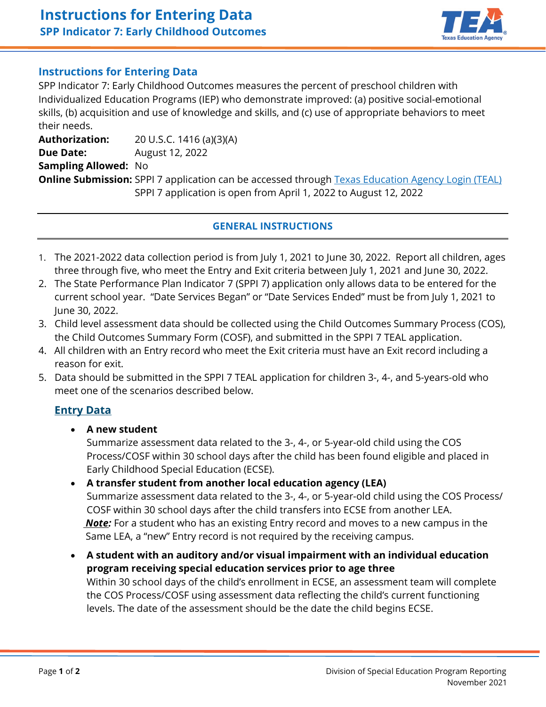

## **Instructions for Entering Data**

SPP Indicator 7: Early Childhood Outcomes measures the percent of preschool children with Individualized Education Programs (IEP) who demonstrate improved: (a) positive social-emotional skills, (b) acquisition and use of knowledge and skills, and (c) use of appropriate behaviors to meet their needs.

**Authorization:** 20 U.S.C. 1416 (a)(3)(A) **Due Date:** August 12, 2022 **Sampling Allowed:** No **Online Submission:** SPPI 7 application can be accessed through [Texas Education Agency Login \(TEAL\)](https://tealprod.tea.state.tx.us/) SPPI 7 application is open from April 1, 2022 to August 12, 2022

#### **GENERAL INSTRUCTIONS**

- 1. The 2021-2022 data collection period is from July 1, 2021 to June 30, 2022.Report all children, ages three through five, who meet the Entry and Exit criteria between July 1, 2021 and June 30, 2022.
- 2. The State Performance Plan Indicator 7 (SPPI 7) application only allows data to be entered for the current school year. "Date Services Began" or "Date Services Ended" must be from July 1, 2021 to June 30, 2022.
- 3. Child level assessment data should be collected using the Child Outcomes Summary Process (COS), the Child Outcomes Summary Form (COSF), and submitted in the SPPI 7 TEAL application.
- 4. All children with an Entry record who meet the Exit criteria must have an Exit record including a reason for exit.
- 5. Data should be submitted in the SPPI 7 TEAL application for children 3-, 4-, and 5-years-old who meet one of the scenarios described below.

### **Entry Data**

• **A new student**

Summarize assessment data related to the 3-, 4-, or 5-year-old child using the COS Process/COSF within 30 school days after the child has been found eligible and placed in Early Childhood Special Education (ECSE).

- **A transfer student from another local education agency (LEA)** Summarize assessment data related to the 3-, 4-, or 5-year-old child using the COS Process/ COSF within 30 school days after the child transfers into ECSE from another LEA.  *Note:* For a student who has an existing Entry record and moves to a new campus in the Same LEA, a "new" Entry record is not required by the receiving campus.
- **A student with an auditory and/or visual impairment with an individual education program receiving special education services prior to age three** Within 30 school days of the child's enrollment in ECSE, an assessment team will complete the COS Process/COSF using assessment data reflecting the child's current functioning levels. The date of the assessment should be the date the child begins ECSE.